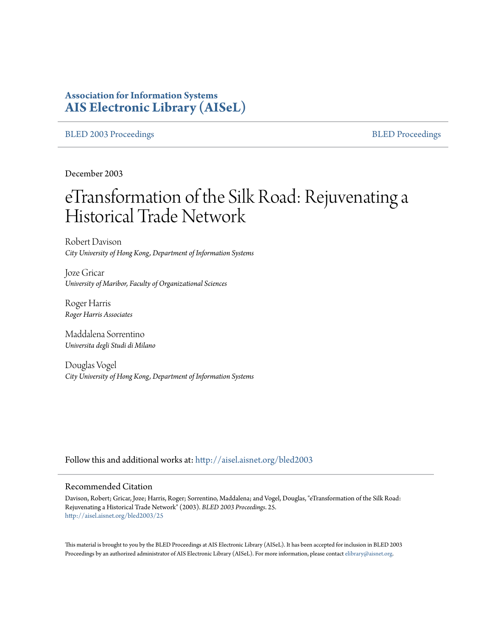# **Association for Information Systems [AIS Electronic Library \(AISeL\)](http://aisel.aisnet.org?utm_source=aisel.aisnet.org%2Fbled2003%2F25&utm_medium=PDF&utm_campaign=PDFCoverPages)**

## [BLED 2003 Proceedings](http://aisel.aisnet.org/bled2003?utm_source=aisel.aisnet.org%2Fbled2003%2F25&utm_medium=PDF&utm_campaign=PDFCoverPages) and the state of the state of the [BLED Proceedings](http://aisel.aisnet.org/bled?utm_source=aisel.aisnet.org%2Fbled2003%2F25&utm_medium=PDF&utm_campaign=PDFCoverPages) and the BLED Proceedings and the BLED Proceedings and the BLED Proceedings and the BLED Proceedings and the BLED Proceedings and the BLED Proceedings

December 2003

# eTransformation of the Silk Road: Rejuvenating a Historical Trade Network

Robert Davison *City University of Hong Kong, Department of Information Systems*

Joze Gricar *University of Maribor, Faculty of Organizational Sciences*

Roger Harris *Roger Harris Associates*

Maddalena Sorrentino *Universita degli Studi di Milano*

Douglas Vogel *City University of Hong Kong, Department of Information Systems*

Follow this and additional works at: [http://aisel.aisnet.org/bled2003](http://aisel.aisnet.org/bled2003?utm_source=aisel.aisnet.org%2Fbled2003%2F25&utm_medium=PDF&utm_campaign=PDFCoverPages)

#### Recommended Citation

Davison, Robert; Gricar, Joze; Harris, Roger; Sorrentino, Maddalena; and Vogel, Douglas, "eTransformation of the Silk Road: Rejuvenating a Historical Trade Network" (2003). *BLED 2003 Proceedings*. 25. [http://aisel.aisnet.org/bled2003/25](http://aisel.aisnet.org/bled2003/25?utm_source=aisel.aisnet.org%2Fbled2003%2F25&utm_medium=PDF&utm_campaign=PDFCoverPages)

This material is brought to you by the BLED Proceedings at AIS Electronic Library (AISeL). It has been accepted for inclusion in BLED 2003 Proceedings by an authorized administrator of AIS Electronic Library (AISeL). For more information, please contact [elibrary@aisnet.org](mailto:elibrary@aisnet.org%3E).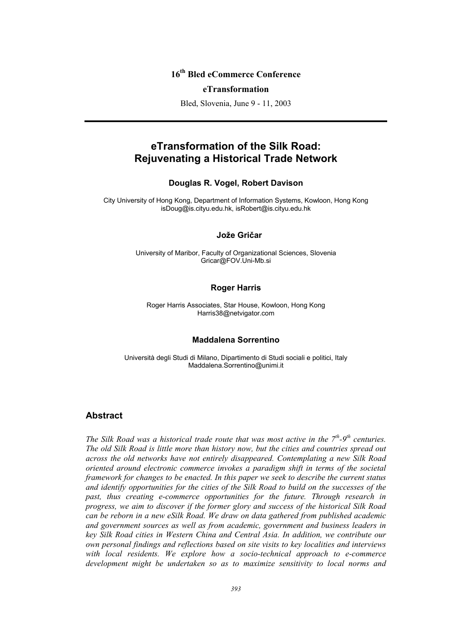# **16th Bled eCommerce Conference**

#### **eTransformation**

Bled, Slovenia, June 9 - 11, 2003

# **eTransformation of the Silk Road: Rejuvenating a Historical Trade Network**

### **Douglas R. Vogel, Robert Davison**

City University of Hong Kong, Department of Information Systems, Kowloon, Hong Kong isDoug@is.cityu.edu.hk, isRobert@is.cityu.edu.hk

### **Jože Gričar Joze Gricar**

University of Maribor, Faculty of Organizational Sciences, Slovenia Gricar@FOV.Uni-Mb.si

### **Roger Harris**

Roger Harris Associates, Star House, Kowloon, Hong Kong Harris38@netvigator.com

#### **Maddalena Sorrentino**

Università degli Studi di Milano, Dipartimento di Studi sociali e politici, Italy Maddalena.Sorrentino@unimi.it

## **Abstract**

*The Silk Road was a historical trade route that was most active in the 7<sup>th</sup>-9<sup>th</sup> centuries. The old Silk Road is little more than history now, but the cities and countries spread out across the old networks have not entirely disappeared. Contemplating a new Silk Road oriented around electronic commerce invokes a paradigm shift in terms of the societal framework for changes to be enacted. In this paper we seek to describe the current status and identify opportunities for the cities of the Silk Road to build on the successes of the*  past, thus creating e-commerce opportunities for the future. Through research in *progress, we aim to discover if the former glory and success of the historical Silk Road can be reborn in a new eSilk Road. We draw on data gathered from published academic and government sources as well as from academic, government and business leaders in key Silk Road cities in Western China and Central Asia. In addition, we contribute our own personal findings and reflections based on site visits to key localities and interviews with local residents. We explore how a socio-technical approach to e-commerce development might be undertaken so as to maximize sensitivity to local norms and*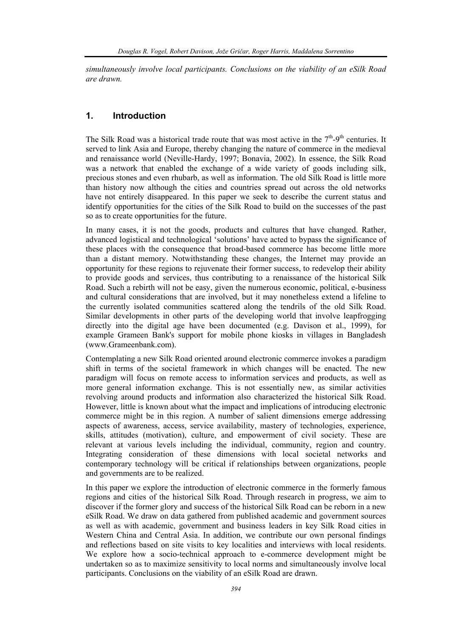*simultaneously involve local participants. Conclusions on the viability of an eSilk Road are drawn.* 

## **1. Introduction**

The Silk Road was a historical trade route that was most active in the  $7<sup>th</sup>$ -9<sup>th</sup> centuries. It served to link Asia and Europe, thereby changing the nature of commerce in the medieval and renaissance world (Neville-Hardy, 1997; Bonavia, 2002). In essence, the Silk Road was a network that enabled the exchange of a wide variety of goods including silk, precious stones and even rhubarb, as well as information. The old Silk Road is little more than history now although the cities and countries spread out across the old networks have not entirely disappeared. In this paper we seek to describe the current status and identify opportunities for the cities of the Silk Road to build on the successes of the past so as to create opportunities for the future.

In many cases, it is not the goods, products and cultures that have changed. Rather, advanced logistical and technological 'solutions' have acted to bypass the significance of these places with the consequence that broad-based commerce has become little more than a distant memory. Notwithstanding these changes, the Internet may provide an opportunity for these regions to rejuvenate their former success, to redevelop their ability to provide goods and services, thus contributing to a renaissance of the historical Silk Road. Such a rebirth will not be easy, given the numerous economic, political, e-business and cultural considerations that are involved, but it may nonetheless extend a lifeline to the currently isolated communities scattered along the tendrils of the old Silk Road. Similar developments in other parts of the developing world that involve leapfrogging directly into the digital age have been documented (e.g. Davison et al., 1999), for example Grameen Bank's support for mobile phone kiosks in villages in Bangladesh (www.Grameenbank.com).

Contemplating a new Silk Road oriented around electronic commerce invokes a paradigm shift in terms of the societal framework in which changes will be enacted. The new paradigm will focus on remote access to information services and products, as well as more general information exchange. This is not essentially new, as similar activities revolving around products and information also characterized the historical Silk Road. However, little is known about what the impact and implications of introducing electronic commerce might be in this region. A number of salient dimensions emerge addressing aspects of awareness, access, service availability, mastery of technologies, experience, skills, attitudes (motivation), culture, and empowerment of civil society. These are relevant at various levels including the individual, community, region and country. Integrating consideration of these dimensions with local societal networks and contemporary technology will be critical if relationships between organizations, people and governments are to be realized.

In this paper we explore the introduction of electronic commerce in the formerly famous regions and cities of the historical Silk Road. Through research in progress, we aim to discover if the former glory and success of the historical Silk Road can be reborn in a new eSilk Road. We draw on data gathered from published academic and government sources as well as with academic, government and business leaders in key Silk Road cities in Western China and Central Asia. In addition, we contribute our own personal findings and reflections based on site visits to key localities and interviews with local residents. We explore how a socio-technical approach to e-commerce development might be undertaken so as to maximize sensitivity to local norms and simultaneously involve local participants. Conclusions on the viability of an eSilk Road are drawn.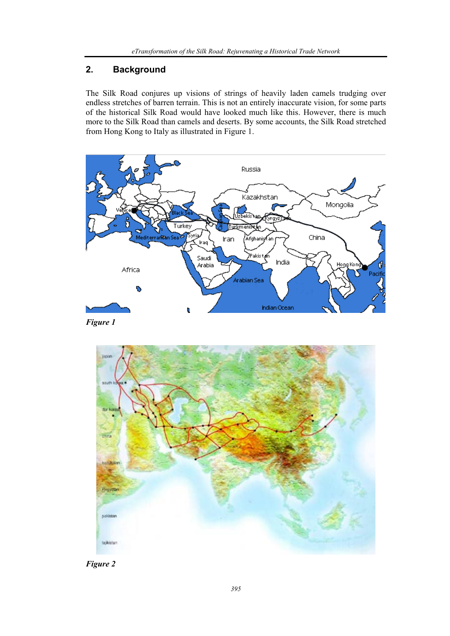# **2. Background**

The Silk Road conjures up visions of strings of heavily laden camels trudging over endless stretches of barren terrain. This is not an entirely inaccurate vision, for some parts of the historical Silk Road would have looked much like this. However, there is much more to the Silk Road than camels and deserts. By some accounts, the Silk Road stretched from Hong Kong to Italy as illustrated in Figure 1.



*Figure 1* 



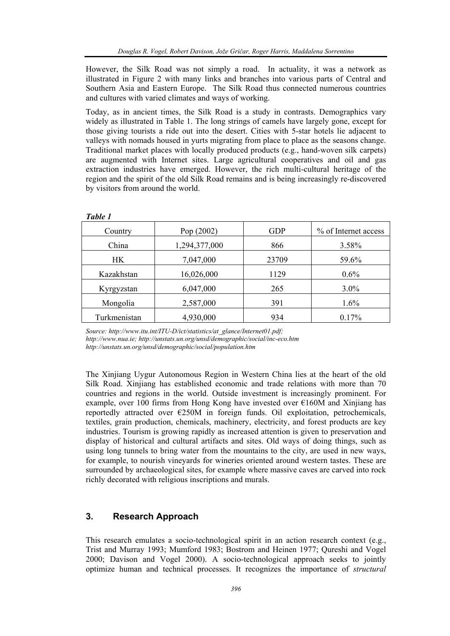However, the Silk Road was not simply a road. In actuality, it was a network as illustrated in Figure 2 with many links and branches into various parts of Central and Southern Asia and Eastern Europe. The Silk Road thus connected numerous countries and cultures with varied climates and ways of working.

Today, as in ancient times, the Silk Road is a study in contrasts. Demographics vary widely as illustrated in Table 1. The long strings of camels have largely gone, except for those giving tourists a ride out into the desert. Cities with 5-star hotels lie adjacent to valleys with nomads housed in yurts migrating from place to place as the seasons change. Traditional market places with locally produced products (e.g., hand-woven silk carpets) are augmented with Internet sites. Large agricultural cooperatives and oil and gas extraction industries have emerged. However, the rich multi-cultural heritage of the region and the spirit of the old Silk Road remains and is being increasingly re-discovered by visitors from around the world.

| Country      | Pop (2002)    | <b>GDP</b> | % of Internet access |
|--------------|---------------|------------|----------------------|
| China        | 1,294,377,000 | 866        | 3.58%                |
| HK.          | 7,047,000     | 23709      | 59.6%                |
| Kazakhstan   | 16,026,000    | 1129       | $0.6\%$              |
| Kyrgyzstan   | 6,047,000     | 265        | $3.0\%$              |
| Mongolia     | 2,587,000     | 391        | 1.6%                 |
| Turkmenistan | 4,930,000     | 934        | 0.17%                |

*Table 1* 

*Source: http://www.itu.int/ITU-D/ict/statistics/at\_glance/Internet01.pdf; http://www.nua.ie; http://unstats.un.org/unsd/demographic/social/inc-eco.htm http://unstats.un.org/unsd/demographic/social/population.htm* 

The Xinjiang Uygur Autonomous Region in Western China lies at the heart of the old Silk Road. Xinjiang has established economic and trade relations with more than 70 countries and regions in the world. Outside investment is increasingly prominent. For example, over 100 firms from Hong Kong have invested over  $E160M$  and Xinjiang has reportedly attracted over €250M in foreign funds. Oil exploitation, petrochemicals, textiles, grain production, chemicals, machinery, electricity, and forest products are key industries. Tourism is growing rapidly as increased attention is given to preservation and display of historical and cultural artifacts and sites. Old ways of doing things, such as using long tunnels to bring water from the mountains to the city, are used in new ways, for example, to nourish vineyards for wineries oriented around western tastes. These are surrounded by archaeological sites, for example where massive caves are carved into rock richly decorated with religious inscriptions and murals.

# **3. Research Approach**

This research emulates a socio-technological spirit in an action research context (e.g., Trist and Murray 1993; Mumford 1983; Bostrom and Heinen 1977; Qureshi and Vogel 2000; Davison and Vogel 2000). A socio-technological approach seeks to jointly optimize human and technical processes. It recognizes the importance of *structural*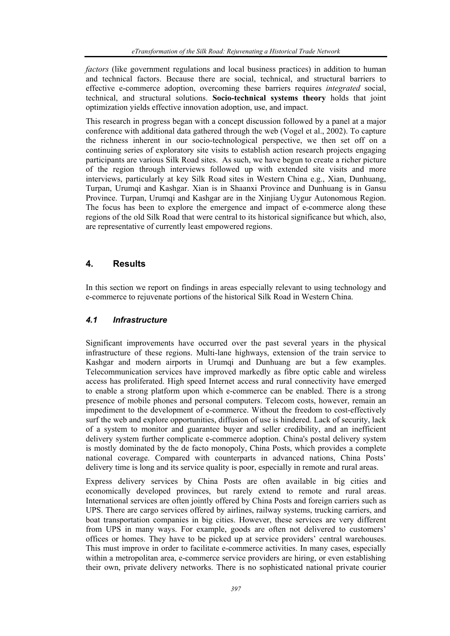*factors* (like government regulations and local business practices) in addition to human and technical factors. Because there are social, technical, and structural barriers to effective e-commerce adoption, overcoming these barriers requires *integrated* social, technical, and structural solutions. **Socio-technical systems theory** holds that joint optimization yields effective innovation adoption, use, and impact.

This research in progress began with a concept discussion followed by a panel at a major conference with additional data gathered through the web (Vogel et al., 2002). To capture the richness inherent in our socio-technological perspective, we then set off on a continuing series of exploratory site visits to establish action research projects engaging participants are various Silk Road sites. As such, we have begun to create a richer picture of the region through interviews followed up with extended site visits and more interviews, particularly at key Silk Road sites in Western China e.g., Xian, Dunhuang, Turpan, Urumqi and Kashgar. Xian is in Shaanxi Province and Dunhuang is in Gansu Province. Turpan, Urumqi and Kashgar are in the Xinjiang Uygur Autonomous Region. The focus has been to explore the emergence and impact of e-commerce along these regions of the old Silk Road that were central to its historical significance but which, also, are representative of currently least empowered regions.

## **4. Results**

In this section we report on findings in areas especially relevant to using technology and e-commerce to rejuvenate portions of the historical Silk Road in Western China.

## *4.1 Infrastructure*

Significant improvements have occurred over the past several years in the physical infrastructure of these regions. Multi-lane highways, extension of the train service to Kashgar and modern airports in Urumqi and Dunhuang are but a few examples. Telecommunication services have improved markedly as fibre optic cable and wireless access has proliferated. High speed Internet access and rural connectivity have emerged to enable a strong platform upon which e-commerce can be enabled. There is a strong presence of mobile phones and personal computers. Telecom costs, however, remain an impediment to the development of e-commerce. Without the freedom to cost-effectively surf the web and explore opportunities, diffusion of use is hindered. Lack of security, lack of a system to monitor and guarantee buyer and seller credibility, and an inefficient delivery system further complicate e-commerce adoption. China's postal delivery system is mostly dominated by the de facto monopoly, China Posts, which provides a complete national coverage. Compared with counterparts in advanced nations, China Posts' delivery time is long and its service quality is poor, especially in remote and rural areas.

Express delivery services by China Posts are often available in big cities and economically developed provinces, but rarely extend to remote and rural areas. International services are often jointly offered by China Posts and foreign carriers such as UPS. There are cargo services offered by airlines, railway systems, trucking carriers, and boat transportation companies in big cities. However, these services are very different from UPS in many ways. For example, goods are often not delivered to customers' offices or homes. They have to be picked up at service providers' central warehouses. This must improve in order to facilitate e-commerce activities. In many cases, especially within a metropolitan area, e-commerce service providers are hiring, or even establishing their own, private delivery networks. There is no sophisticated national private courier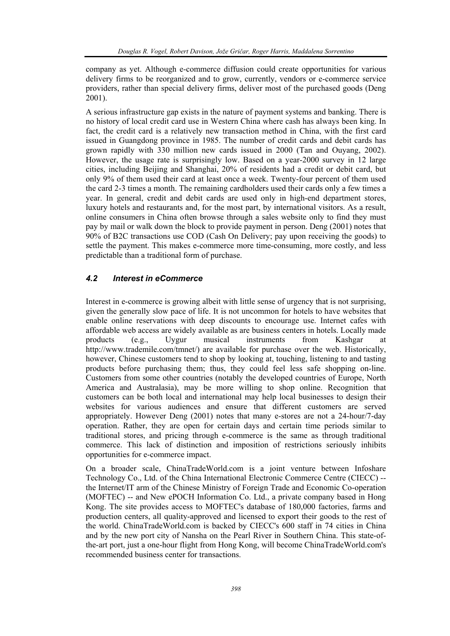company as yet. Although e-commerce diffusion could create opportunities for various delivery firms to be reorganized and to grow, currently, vendors or e-commerce service providers, rather than special delivery firms, deliver most of the purchased goods (Deng 2001).

A serious infrastructure gap exists in the nature of payment systems and banking. There is no history of local credit card use in Western China where cash has always been king. In fact, the credit card is a relatively new transaction method in China, with the first card issued in Guangdong province in 1985. The number of credit cards and debit cards has grown rapidly with 330 million new cards issued in 2000 (Tan and Ouyang, 2002). However, the usage rate is surprisingly low. Based on a year-2000 survey in 12 large cities, including Beijing and Shanghai, 20% of residents had a credit or debit card, but only 9% of them used their card at least once a week. Twenty-four percent of them used the card 2-3 times a month. The remaining cardholders used their cards only a few times a year. In general, credit and debit cards are used only in high-end department stores, luxury hotels and restaurants and, for the most part, by international visitors. As a result, online consumers in China often browse through a sales website only to find they must pay by mail or walk down the block to provide payment in person. Deng (2001) notes that 90% of B2C transactions use COD (Cash On Delivery; pay upon receiving the goods) to settle the payment. This makes e-commerce more time-consuming, more costly, and less predictable than a traditional form of purchase.

## *4.2 Interest in eCommerce*

Interest in e-commerce is growing albeit with little sense of urgency that is not surprising, given the generally slow pace of life. It is not uncommon for hotels to have websites that enable online reservations with deep discounts to encourage use. Internet cafes with affordable web access are widely available as are business centers in hotels. Locally made products (e.g., Uygur musical instruments from Kashgar at http://www.trademile.com/tmnet/) are available for purchase over the web. Historically, however, Chinese customers tend to shop by looking at, touching, listening to and tasting products before purchasing them; thus, they could feel less safe shopping on-line. Customers from some other countries (notably the developed countries of Europe, North America and Australasia), may be more willing to shop online. Recognition that customers can be both local and international may help local businesses to design their websites for various audiences and ensure that different customers are served appropriately. However Deng (2001) notes that many e-stores are not a 24-hour/7-day operation. Rather, they are open for certain days and certain time periods similar to traditional stores, and pricing through e-commerce is the same as through traditional commerce. This lack of distinction and imposition of restrictions seriously inhibits opportunities for e-commerce impact.

On a broader scale, ChinaTradeWorld.com is a joint venture between Infoshare Technology Co., Ltd. of the China International Electronic Commerce Centre (CIECC) - the Internet/IT arm of the Chinese Ministry of Foreign Trade and Economic Co-operation (MOFTEC) -- and New ePOCH Information Co. Ltd., a private company based in Hong Kong. The site provides access to MOFTEC's database of 180,000 factories, farms and production centers, all quality-approved and licensed to export their goods to the rest of the world. ChinaTradeWorld.com is backed by CIECC's 600 staff in 74 cities in China and by the new port city of Nansha on the Pearl River in Southern China. This state-ofthe-art port, just a one-hour flight from Hong Kong, will become ChinaTradeWorld.com's recommended business center for transactions.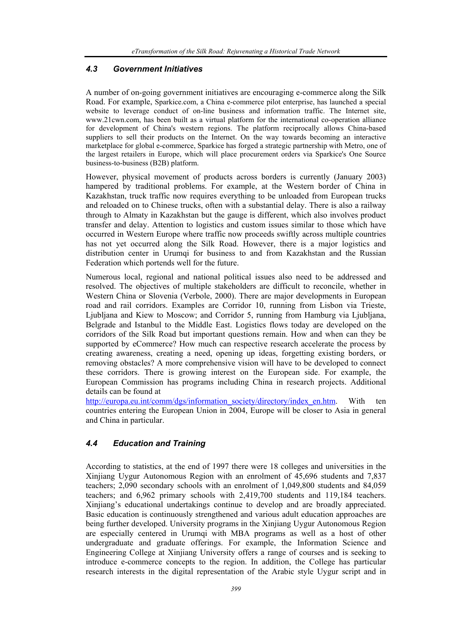## *4.3 Government Initiatives*

A number of on-going government initiatives are encouraging e-commerce along the Silk Road. For example, Sparkice.com, a China e-commerce pilot enterprise, has launched a special website to leverage conduct of on-line business and information traffic. The Internet site, www.21cwn.com, has been built as a virtual platform for the international co-operation alliance for development of China's western regions. The platform reciprocally allows China-based suppliers to sell their products on the Internet. On the way towards becoming an interactive marketplace for global e-commerce, Sparkice has forged a strategic partnership with Metro, one of the largest retailers in Europe, which will place procurement orders via Sparkice's One Source business-to-business (B2B) platform.

However, physical movement of products across borders is currently (January 2003) hampered by traditional problems. For example, at the Western border of China in Kazakhstan, truck traffic now requires everything to be unloaded from European trucks and reloaded on to Chinese trucks, often with a substantial delay. There is also a railway through to Almaty in Kazakhstan but the gauge is different, which also involves product transfer and delay. Attention to logistics and custom issues similar to those which have occurred in Western Europe where traffic now proceeds swiftly across multiple countries has not yet occurred along the Silk Road. However, there is a major logistics and distribution center in Urumqi for business to and from Kazakhstan and the Russian Federation which portends well for the future.

Numerous local, regional and national political issues also need to be addressed and resolved. The objectives of multiple stakeholders are difficult to reconcile, whether in Western China or Slovenia (Verbole, 2000). There are major developments in European road and rail corridors. Examples are Corridor 10, running from Lisbon via Trieste, Ljubljana and Kiew to Moscow; and Corridor 5, running from Hamburg via Ljubljana, Belgrade and Istanbul to the Middle East. Logistics flows today are developed on the corridors of the Silk Road but important questions remain. How and when can they be supported by eCommerce? How much can respective research accelerate the process by creating awareness, creating a need, opening up ideas, forgetting existing borders, or removing obstacles? A more comprehensive vision will have to be developed to connect these corridors. There is growing interest on the European side. For example, the European Commission has programs including China in research projects. Additional details can be found at

http://europa.eu.int/comm/dgs/information\_society/directory/index\_en.htm. With ten countries entering the European Union in 2004, Europe will be closer to Asia in general and China in particular.

## *4.4 Education and Training*

According to statistics, at the end of 1997 there were 18 colleges and universities in the Xinjiang Uygur Autonomous Region with an enrolment of 45,696 students and 7,837 teachers; 2,090 secondary schools with an enrolment of 1,049,800 students and 84,059 teachers; and 6,962 primary schools with 2,419,700 students and 119,184 teachers. Xinjiang's educational undertakings continue to develop and are broadly appreciated. Basic education is continuously strengthened and various adult education approaches are being further developed. University programs in the Xinjiang Uygur Autonomous Region are especially centered in Urumqi with MBA programs as well as a host of other undergraduate and graduate offerings. For example, the Information Science and Engineering College at Xinjiang University offers a range of courses and is seeking to introduce e-commerce concepts to the region. In addition, the College has particular research interests in the digital representation of the Arabic style Uygur script and in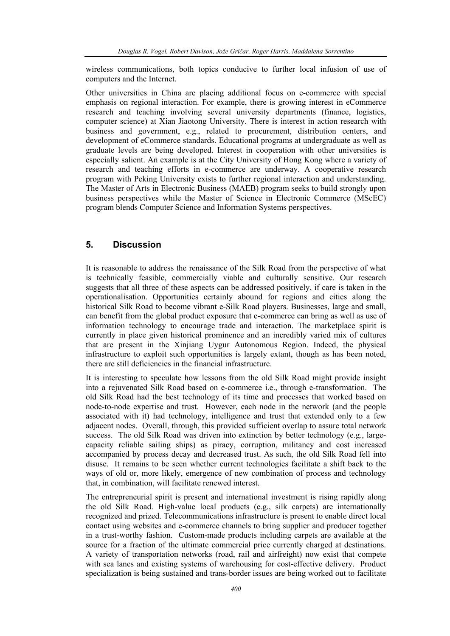wireless communications, both topics conducive to further local infusion of use of computers and the Internet.

Other universities in China are placing additional focus on e-commerce with special emphasis on regional interaction. For example, there is growing interest in eCommerce research and teaching involving several university departments (finance, logistics, computer science) at Xian Jiaotong University. There is interest in action research with business and government, e.g., related to procurement, distribution centers, and development of eCommerce standards. Educational programs at undergraduate as well as graduate levels are being developed. Interest in cooperation with other universities is especially salient. An example is at the City University of Hong Kong where a variety of research and teaching efforts in e-commerce are underway. A cooperative research program with Peking University exists to further regional interaction and understanding. The Master of Arts in Electronic Business (MAEB) program seeks to build strongly upon business perspectives while the Master of Science in Electronic Commerce (MScEC) program blends Computer Science and Information Systems perspectives.

## **5. Discussion**

It is reasonable to address the renaissance of the Silk Road from the perspective of what is technically feasible, commercially viable and culturally sensitive. Our research suggests that all three of these aspects can be addressed positively, if care is taken in the operationalisation. Opportunities certainly abound for regions and cities along the historical Silk Road to become vibrant e-Silk Road players. Businesses, large and small, can benefit from the global product exposure that e-commerce can bring as well as use of information technology to encourage trade and interaction. The marketplace spirit is currently in place given historical prominence and an incredibly varied mix of cultures that are present in the Xinjiang Uygur Autonomous Region. Indeed, the physical infrastructure to exploit such opportunities is largely extant, though as has been noted, there are still deficiencies in the financial infrastructure.

It is interesting to speculate how lessons from the old Silk Road might provide insight into a rejuvenated Silk Road based on e-commerce i.e., through e-transformation. The old Silk Road had the best technology of its time and processes that worked based on node-to-node expertise and trust. However, each node in the network (and the people associated with it) had technology, intelligence and trust that extended only to a few adjacent nodes. Overall, through, this provided sufficient overlap to assure total network success. The old Silk Road was driven into extinction by better technology (e.g., largecapacity reliable sailing ships) as piracy, corruption, militancy and cost increased accompanied by process decay and decreased trust. As such, the old Silk Road fell into disuse. It remains to be seen whether current technologies facilitate a shift back to the ways of old or, more likely, emergence of new combination of process and technology that, in combination, will facilitate renewed interest.

The entrepreneurial spirit is present and international investment is rising rapidly along the old Silk Road. High-value local products (e.g., silk carpets) are internationally recognized and prized. Telecommunications infrastructure is present to enable direct local contact using websites and e-commerce channels to bring supplier and producer together in a trust-worthy fashion. Custom-made products including carpets are available at the source for a fraction of the ultimate commercial price currently charged at destinations. A variety of transportation networks (road, rail and airfreight) now exist that compete with sea lanes and existing systems of warehousing for cost-effective delivery. Product specialization is being sustained and trans-border issues are being worked out to facilitate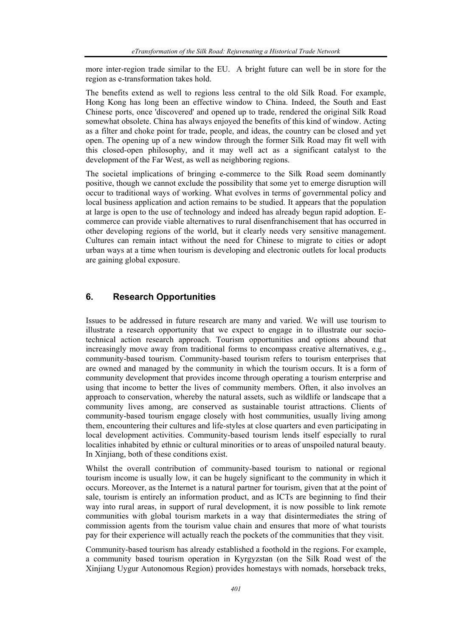more inter-region trade similar to the EU. A bright future can well be in store for the region as e-transformation takes hold.

The benefits extend as well to regions less central to the old Silk Road. For example, Hong Kong has long been an effective window to China. Indeed, the South and East Chinese ports, once 'discovered' and opened up to trade, rendered the original Silk Road somewhat obsolete. China has always enjoyed the benefits of this kind of window. Acting as a filter and choke point for trade, people, and ideas, the country can be closed and yet open. The opening up of a new window through the former Silk Road may fit well with this closed-open philosophy, and it may well act as a significant catalyst to the development of the Far West, as well as neighboring regions.

The societal implications of bringing e-commerce to the Silk Road seem dominantly positive, though we cannot exclude the possibility that some yet to emerge disruption will occur to traditional ways of working. What evolves in terms of governmental policy and local business application and action remains to be studied. It appears that the population at large is open to the use of technology and indeed has already begun rapid adoption. Ecommerce can provide viable alternatives to rural disenfranchisement that has occurred in other developing regions of the world, but it clearly needs very sensitive management. Cultures can remain intact without the need for Chinese to migrate to cities or adopt urban ways at a time when tourism is developing and electronic outlets for local products are gaining global exposure.

# **6. Research Opportunities**

Issues to be addressed in future research are many and varied. We will use tourism to illustrate a research opportunity that we expect to engage in to illustrate our sociotechnical action research approach. Tourism opportunities and options abound that increasingly move away from traditional forms to encompass creative alternatives, e.g., community-based tourism. Community-based tourism refers to tourism enterprises that are owned and managed by the community in which the tourism occurs. It is a form of community development that provides income through operating a tourism enterprise and using that income to better the lives of community members. Often, it also involves an approach to conservation, whereby the natural assets, such as wildlife or landscape that a community lives among, are conserved as sustainable tourist attractions. Clients of community-based tourism engage closely with host communities, usually living among them, encountering their cultures and life-styles at close quarters and even participating in local development activities. Community-based tourism lends itself especially to rural localities inhabited by ethnic or cultural minorities or to areas of unspoiled natural beauty. In Xinjiang, both of these conditions exist.

Whilst the overall contribution of community-based tourism to national or regional tourism income is usually low, it can be hugely significant to the community in which it occurs. Moreover, as the Internet is a natural partner for tourism, given that at the point of sale, tourism is entirely an information product, and as ICTs are beginning to find their way into rural areas, in support of rural development, it is now possible to link remote communities with global tourism markets in a way that disintermediates the string of commission agents from the tourism value chain and ensures that more of what tourists pay for their experience will actually reach the pockets of the communities that they visit.

Community-based tourism has already established a foothold in the regions. For example, a community based tourism operation in Kyrgyzstan (on the Silk Road west of the Xinjiang Uygur Autonomous Region) provides homestays with nomads, horseback treks,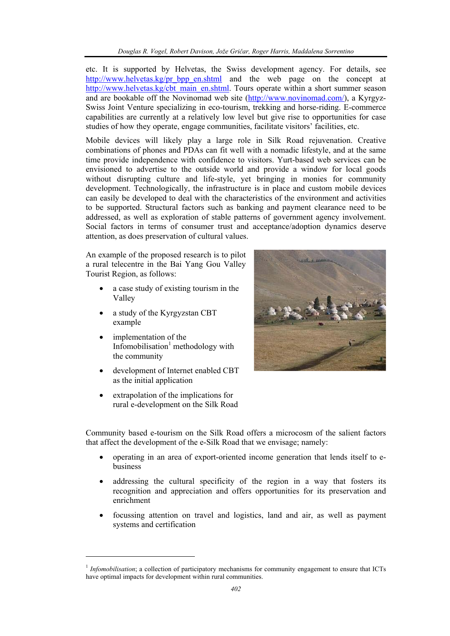etc. It is supported by Helvetas, the Swiss development agency. For details, see http://www.helvetas.kg/pr\_bpp\_en.shtml and the web page on the concept at http://www.helvetas.kg/cbt\_main\_en.shtml. Tours operate within a short summer season and are bookable off the Novinomad web site (http://www.novinomad.com/), a Kyrgyz-Swiss Joint Venture specializing in eco-tourism, trekking and horse-riding. E-commerce capabilities are currently at a relatively low level but give rise to opportunities for case studies of how they operate, engage communities, facilitate visitors' facilities, etc.

Mobile devices will likely play a large role in Silk Road rejuvenation. Creative combinations of phones and PDAs can fit well with a nomadic lifestyle, and at the same time provide independence with confidence to visitors. Yurt-based web services can be envisioned to advertise to the outside world and provide a window for local goods without disrupting culture and life-style, yet bringing in monies for community development. Technologically, the infrastructure is in place and custom mobile devices can easily be developed to deal with the characteristics of the environment and activities to be supported. Structural factors such as banking and payment clearance need to be addressed, as well as exploration of stable patterns of government agency involvement. Social factors in terms of consumer trust and acceptance/adoption dynamics deserve attention, as does preservation of cultural values.

An example of the proposed research is to pilot a rural telecentre in the Bai Yang Gou Valley Tourist Region, as follows:

- a case study of existing tourism in the Valley
- a study of the Kyrgyzstan CBT example
- implementation of the Infomobilisation<sup>1</sup> methodology with the community
- development of Internet enabled CBT as the initial application
- extrapolation of the implications for rural e-development on the Silk Road

l



Community based e-tourism on the Silk Road offers a microcosm of the salient factors that affect the development of the e-Silk Road that we envisage; namely:

- operating in an area of export-oriented income generation that lends itself to ebusiness
- addressing the cultural specificity of the region in a way that fosters its recognition and appreciation and offers opportunities for its preservation and enrichment
- focussing attention on travel and logistics, land and air, as well as payment systems and certification

<sup>&</sup>lt;sup>1</sup> *Infomobilisation*; a collection of participatory mechanisms for community engagement to ensure that ICTs have optimal impacts for development within rural communities.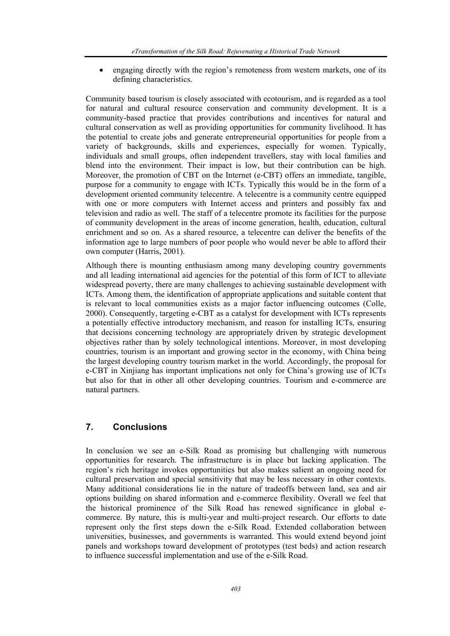• engaging directly with the region's remoteness from western markets, one of its defining characteristics.

Community based tourism is closely associated with ecotourism, and is regarded as a tool for natural and cultural resource conservation and community development. It is a community-based practice that provides contributions and incentives for natural and cultural conservation as well as providing opportunities for community livelihood. It has the potential to create jobs and generate entrepreneurial opportunities for people from a variety of backgrounds, skills and experiences, especially for women. Typically, individuals and small groups, often independent travellers, stay with local families and blend into the environment. Their impact is low, but their contribution can be high. Moreover, the promotion of CBT on the Internet (e-CBT) offers an immediate, tangible, purpose for a community to engage with ICTs. Typically this would be in the form of a development oriented community telecentre. A telecentre is a community centre equipped with one or more computers with Internet access and printers and possibly fax and television and radio as well. The staff of a telecentre promote its facilities for the purpose of community development in the areas of income generation, health, education, cultural enrichment and so on. As a shared resource, a telecentre can deliver the benefits of the information age to large numbers of poor people who would never be able to afford their own computer (Harris, 2001).

Although there is mounting enthusiasm among many developing country governments and all leading international aid agencies for the potential of this form of ICT to alleviate widespread poverty, there are many challenges to achieving sustainable development with ICTs. Among them, the identification of appropriate applications and suitable content that is relevant to local communities exists as a major factor influencing outcomes (Colle, 2000). Consequently, targeting e-CBT as a catalyst for development with ICTs represents a potentially effective introductory mechanism, and reason for installing ICTs, ensuring that decisions concerning technology are appropriately driven by strategic development objectives rather than by solely technological intentions. Moreover, in most developing countries, tourism is an important and growing sector in the economy, with China being the largest developing country tourism market in the world. Accordingly, the proposal for e-CBT in Xinjiang has important implications not only for China's growing use of ICTs but also for that in other all other developing countries. Tourism and e-commerce are natural partners.

# **7. Conclusions**

In conclusion we see an e-Silk Road as promising but challenging with numerous opportunities for research. The infrastructure is in place but lacking application. The region's rich heritage invokes opportunities but also makes salient an ongoing need for cultural preservation and special sensitivity that may be less necessary in other contexts. Many additional considerations lie in the nature of tradeoffs between land, sea and air options building on shared information and e-commerce flexibility. Overall we feel that the historical prominence of the Silk Road has renewed significance in global ecommerce. By nature, this is multi-year and multi-project research. Our efforts to date represent only the first steps down the e-Silk Road. Extended collaboration between universities, businesses, and governments is warranted. This would extend beyond joint panels and workshops toward development of prototypes (test beds) and action research to influence successful implementation and use of the e-Silk Road.